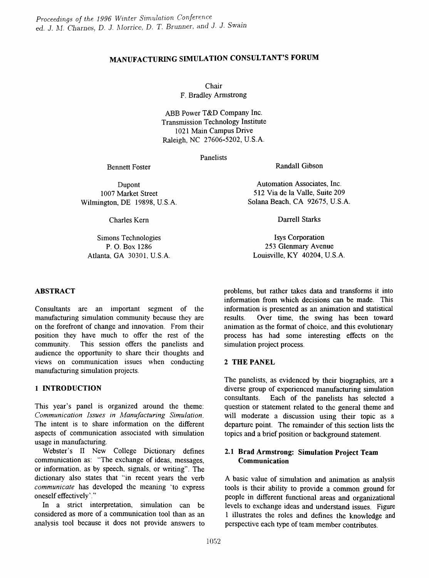# MANUFACTURING SIMULATION CONSULTANT'S FORUM

Chair

F. Bradley Armstrong

ABB Power T&D Company Inc. Transmission Technology Institute 1021 Main Campus Drive Raleigh, NC 27606-5202, U.S.A.

Panelists

Randall Gibson

Dupont 1007 Market Street Wilmington, DE 19898, U.S.A.

Bennett Foster

Charles Kern

Simons Technologies P. O. Box 1286 Atlanta, GA 30301, U.S.A.

ABSTRACT

Consultants are an important segment of the manufacturing simulation community because they are on the forefront of change and innovation. From their position they have much to offer the rest of the community. This session offers the panelists and audience the opportunity to share their thoughts and views on communication issues when conducting manufacturing simulation projects.

## 1 INTRODUCTION

This year's panel is organized around the theme: *Communication Issues in Manufacturing Simulation.* The intent is to share information on the different aspects of communication associated with simulation usage in manufacturing.

Webster's II New College Dictionary defines communication as: "The exchange of ideas, messages, or information, as by speech, signals, or writing". The dictionary also states that "in recent years the verb *communicate* has developed the meaning 'to express oneself effectively' ."

In a strict interpretation, simulation can be considered as more of a communication tool than as an analysis tool because it does not provide answers to

Automation Associates, Inc. 512 Via de la Valle, Suite 209 Solana Beach, CA 92675, U.S.A.

Darrell Starks

Isys Corporation 253 Glenmary Avenue Louisville, KY 40204, U.S.A.

problems, but rather takes data and transforms it into information from which decisions can be made. This information is presented as an animation and statistical results. Over time, the swing has been toward animation as the format of choice, and this evolutionary process has had some interesting effects on the simulation project process.

### 2 THE PANEL

The panelists, as evidenced by their biographies, are a diverse group of experienced manufacturing simulation consultants. Each of the panelists has selected a question or statement related to the general theme and will moderate a discussion using their topic as a departure point. The remainder of this section lists the topics and a brief position or background statement.

# 2.1 Brad Armstrong: Simulation Project Team Communication

A basic value of simulation and animation as analysis tools is their ability to provide a common ground for people in different functional areas and organizational levels to exchange ideas and understand issues. Figure 1 illustrates the roles and defines the knowledge and perspective each type of team member contributes.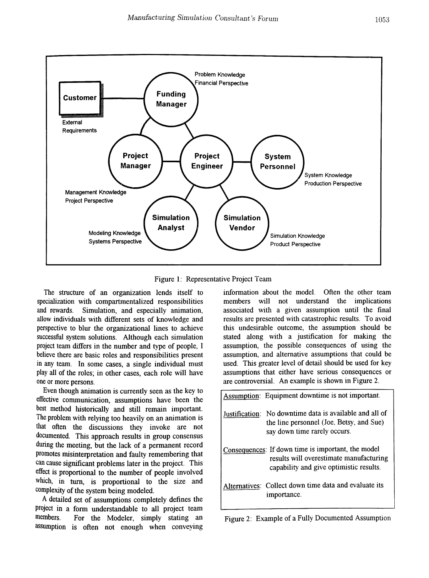

Figure 1: Representative Project Team

The structure of an organization lends itself to specialization with compartmentalized responsibilities and rewards. Simulation, and especially animation, allow individuals with different sets of knowledge and perspective to blur the organizational lines to achieve successful system solutions. Although each simulation project team differs in the number and type of people, I believe there are basic roles and responsibilities present in any team. In some cases, a single individual must play all of the roles; in other cases, each role will have one or more persons.

Even though animation is currently seen as the key to effective communication, assumptions have been the best method historically and still remain important. The problem with relying too heavily on an animation is that often the discussions they invoke are not documented. This approach results in group consensus during the meeting, but the lack of a permanent record promotes misinterpretation and faulty remembering that can cause significant problems later in the project. This effect is proportional to the number of people involved which, in turn, is proportional to the size and complexity of the system being modeled.

A detailed set of assumptions completely defines the project in a form understandable to all project team members. For the Modeler, simply stating an assumption is often not enough when conveying information about the model. Often the other team members will not understand the implications associated with a given assumption until the final results are presented with catastrophic results. To avoid this undesirable outcome, the assumption should be stated along with a justification for making the assumption, the possible consequences of using the assumption, and alternative assumptions that could be used. This greater level of detail should be used for key assumptions that either have serious consequences or are controversial. An example is shown in Figure 2.

| Assumption: Equipment downtime is not important.                                                                                         |
|------------------------------------------------------------------------------------------------------------------------------------------|
| Justification: No downtime data is available and all of<br>the line personnel (Joe, Betsy, and Sue)<br>say down time rarely occurs.      |
| Consequences: If down time is important, the model<br>results will overestimate manufacturing<br>capability and give optimistic results. |
| Alternatives: Collect down time data and evaluate its<br>importance.                                                                     |

|  |  | Figure 2: Example of a Fully Documented Assumption |  |
|--|--|----------------------------------------------------|--|
|--|--|----------------------------------------------------|--|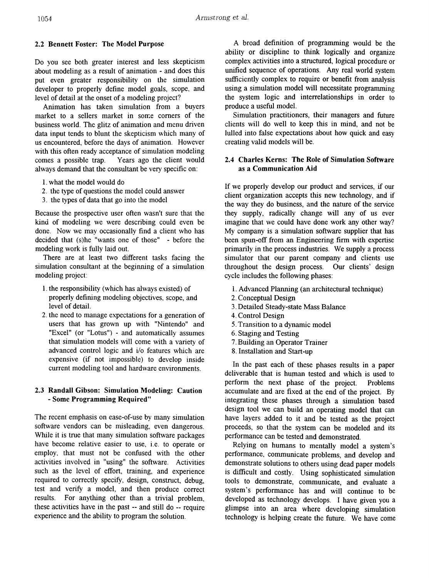## 2.2 Bennett Foster: The Model Purpose

Do you see both greater interest and less skepticism about modeling as a result of animation - and does this put even greater responsibility on the simulation developer to properly define model goals, scope, and level of detail at the onset of a modeling project?

Animation has taken simulation from a buyers market to a sellers market in some corners of the business world. The glitz of animation and menu driven data input tends to blunt the skepticism which many of us encountered, before the days of animation. However with this often ready acceptance of simulation modeling comes a possible trap. Years ago the client would always demand that the consultant be very specific on:

- 1. what the model would do
- 2. the type of questions the model could answer
- 3. the types of data that go into the model

Because the prospective user often wasn't sure that the kind of modeling we were describing could even be done. Now we may occasionally find a client who has decided that (s)he "wants one of those" - before the modeling work is fully laid out.

There are at least two different tasks facing the simulation consultant at the beginning of a simulation modeling project:

- 1. the responsibility (which has always existed) of properly defining modeling objectives, scope, and level of detail.
- 2. the need to manage expectations for a generation of users that has grown up with "Nintendo" and "Excel" (or "Lotus") - and automatically assumes that simulation models will come with a variety of advanced control logic and i/o features which are expensive (if not impossible) to develop inside current modeling tool and hardware environments.

## 2.3 Randall Gibson: Simulation Modeling: Caution - Some Programming Required"

The recent emphasis on ease-of-use by many simulation software vendors can be misleading, even dangerous. While it is true that many simulation software packages have become relative easier to use, i.e. to operate or employ, that must not be confused with the other activities involved in "using" the software. Activities such as the level of effort, training, and experience required to correctly specify, design, construct, debug, test and verify a model, and then produce correct results. For anything other than a trivial problem, these activities have in the past -- and still do -- require experience and the ability to program the solution.

A broad definition of programming would be the ability or discipline to think logically and organize complex activities into a structured, logical procedure or unified sequence of operations. Any real world system sufficiently complex to require or benefit from analysis using a simulation model will necessitate programming the system logic and interrelationships in order to produce a useful model.

Simulation practitioners, their managers and future clients will do well to keep this in mind, and not be lulled into false expectations about how quick and easy creating valid models will be.

## 2.4 Charles Kerns: The Role of Simulation Software as a Communication Aid

If we properly develop our product and services, if our client organization accepts this new technology, and if the way they do business, and the nature of the service they supply, radically change will any of us ever imagine that we could have done work any other way? My company is a simulation software supplier that has been spun-off from an Engineering firm with expertise primarily in the process industries. We supply a process simulator that our parent company and clients use throughout the design process. Our clients' design cycle includes the following phases:

- 1. Advanced Planning (an architectural technique)
- 2. Conceptual Design
- 3. Detailed Steady-state Mass Balance
- 4. Control Design
- 5. Transition to a dynamic model
- 6. Staging and Testing
- 7. Building an Operator Trainer
- 8. Installation and Start-up

In the past each of these phases results in a paper deliverable that is hwnan tested and which is used to perfonn the next phase of the project. Problems accumulate and are fixed at the end of the project. By integrating these phases through a simulation based design tool we can build an operating model that can have layers added to it and be tested as the project proceeds, so that the system can be modeled and its performance can be tested and demonstrated.

Relying on humans to mentally model a system's perfonnance, communicate problems, and develop and demonstrate solutions to others using dead paper models is difficult and costly. Using sophisticated simulation tools to demonstrate, communicate, and evaluate a system's performance has and will continue to be developed as technology develops. I have given you a glimpse into an area where developing simulation technology is helping create the future. We have come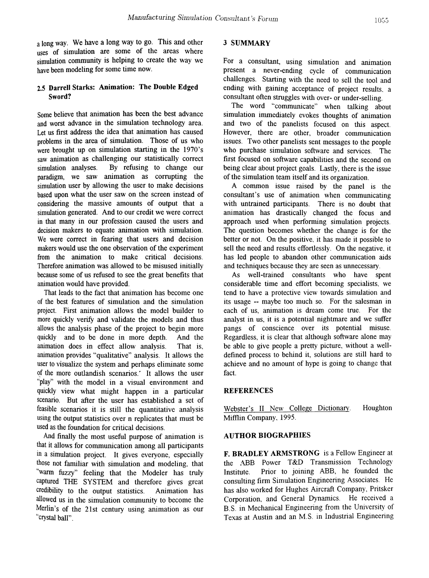a long way. We have a long way to go. This and other uses of simulation are some of the areas where simulation community is helping to create the way we have been modeling for some time now.

## 2.5 Darrell Starks: Animation: The Double Edged Sword?

Some believe that animation has been the best advance and worst advance in the simulation technology area. Let us first address the idea that animation has caused problems in the area of simulation. Those of us who were brought up on simulation starting in the 1970's saw animation as challenging our statistically correct simulation analyses. By refusing to change our paradigm, we saw animation as corrupting the simulation user by allowing the user to make decisions based upon what the user saw on the screen instead of considering the massive amounts of output that a simulation generated. And to our credit we were correct in that many in our profession caused the users and decision makers to equate animation with simulation. We were correct in fearing that users and decision makers would use the one observation of the experiment from the animation to make critical decisions. Therefore animation was allowed to be misused initially because some of us refused to see the great benefits that animation would have provided.

That leads to the fact that animation has become one of the best features of simulation and the simulation project. First animation allows the model builder to more quickly verify and validate the models and thus allows the analysis phase of the project to begin more quickly and to be done in more depth. And the animation does in effect allow analysis. That is, animation provides "qualitative" analysis. It allows the user to visualize the system and perhaps eliminate some of the more outlandish scenarios.' It allows the user "play" with the model in a visual environment and quickly view what might happen in a particular scenario. But after the user has established a set of feasible scenarios it is still the quantitative analysis using the output statistics over n replicates that must be used as the foundation for critical decisions.

And finally the most useful purpose of animation is that it allows for communication among all participants in a simulation project. It gives everyone, especially those not familiar with simulation and modeling, that "warm fuzzy" feeling that the Modeler has truly captured THE SYSTEM and therefore gives great credibility to the output statistics. Animation has allowed us in the simulation community to become the Merlin's of the 21st century using animation as our "crystal ball".

# 3 SUMMARY

For a consultant, using simulation and animation present a never-ending cycle of communication challenges. Starting with the need to sell the tool and ending with gaining acceptance of project results. a consultant often struggles with over- or under-selling.

The word "communicate" when talking about simulation immediately evokes thoughts of animation and two of the panelists focused on this aspect. However, there are other, broader communication issues. Two other panelists sent messages to the people who purchase simulation software and services. The first focused on software capabilities and the second on being clear about project goals. Lastly, there is the issue of the simulation team itself and its organization.

A common issue raised by the panel is the consultant's use of animation when communicating with untrained participants. There is no doubt that animation has drastically changed the focus and approach used when performing simulation projects. The question becomes whether the change is for the better or not. On the positive, it has made it possible to sell the need and results effortlessly. On the negative, it has led people to abandon other communication aids and techniques because they are seen as unnecessary.

As well-trained consultants who have spent considerable time and effort becoming specialists, we tend to have a protective view towards simulation and its usage -- maybe too much so. For the salesman in each of us, animation is dream come true. For the analyst in us, it is a potential nightmare and we suffer pangs of conscience over its potential misuse. Regardless, it is clear that although software alone may be able to give people a pretty picture, without a welldefined process to behind it, solutions are still hard to achieve and no amount of hype is going to change that fact.

### **REFERENCES**

Webster's II New College Dictionary. Houghton Mifflin Company, 1995.

### AUTHOR BIOGRAPHIES

F. BRADLEY ARMSTRONG is a Fellow Engineer at the ABB Power T&D Transmission Technology Institute. Prior to joining ABB, he founded the consulting finn Simulation Engineering Associates. He has also worked for Hughes Aircraft Company, Pritsker Corporation, and General Dynamics. He received a B.S. in Mechanical Engineering from the University of Texas at Austin and an M.S. in Industrial Engineering